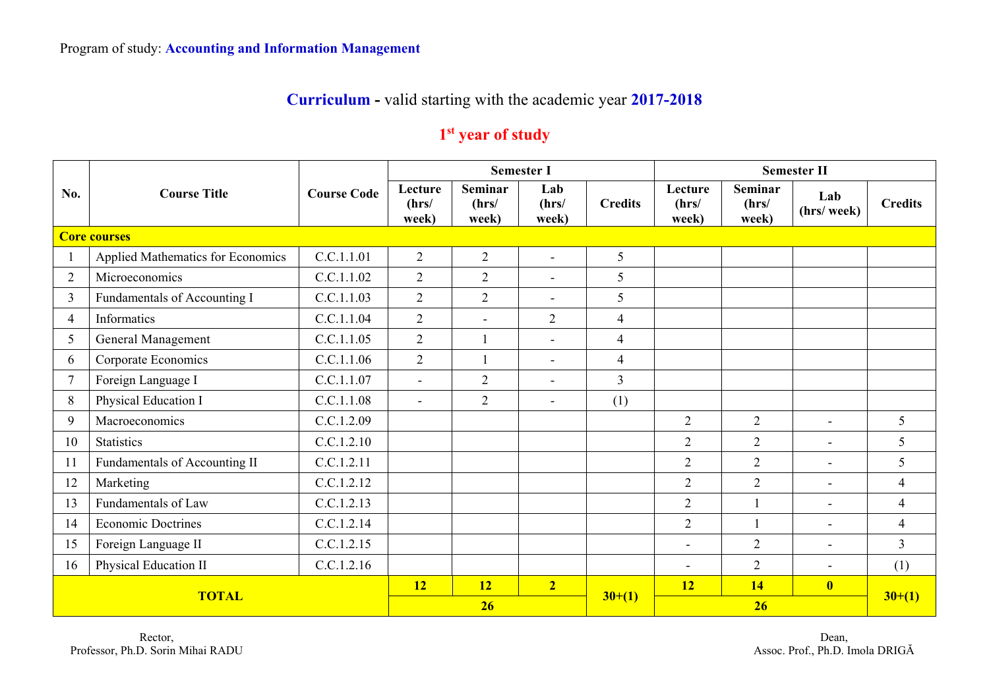## **Curriculum -** valid starting with the academic year **2017-2018**

## **1st year of study**

|                     | <b>Course Title</b>               |                    |                           |                           | <b>Semester I</b>        |                | <b>Semester II</b>        |                                  |                          |                |
|---------------------|-----------------------------------|--------------------|---------------------------|---------------------------|--------------------------|----------------|---------------------------|----------------------------------|--------------------------|----------------|
| No.                 |                                   | <b>Course Code</b> | Lecture<br>(hrs/<br>week) | Seminar<br>(hrs/<br>week) | Lab<br>(hrs/<br>week)    | <b>Credits</b> | Lecture<br>(hrs/<br>week) | <b>Seminar</b><br>(hrs/<br>week) | Lab<br>(hrs/ week)       | <b>Credits</b> |
| <b>Core courses</b> |                                   |                    |                           |                           |                          |                |                           |                                  |                          |                |
|                     | Applied Mathematics for Economics | C.C.1.1.01         | $\overline{2}$            | $\overline{2}$            | $\sim$                   | 5              |                           |                                  |                          |                |
| 2                   | Microeconomics                    | C.C.1.1.02         | 2                         | $\overline{2}$            | $\overline{\phantom{a}}$ | 5              |                           |                                  |                          |                |
| $\overline{3}$      | Fundamentals of Accounting I      | C.C.1.1.03         | 2                         | $\overline{2}$            | $\blacksquare$           | 5              |                           |                                  |                          |                |
| $\overline{4}$      | Informatics                       | C.C.1.1.04         | $\overline{2}$            | $\blacksquare$            | $\overline{2}$           | $\overline{4}$ |                           |                                  |                          |                |
| 5                   | General Management                | C.C.1.1.05         | $\overline{2}$            |                           | $\blacksquare$           | $\overline{4}$ |                           |                                  |                          |                |
| 6                   | Corporate Economics               | C.C.1.1.06         | $\overline{2}$            | $\mathbf{1}$              | $\blacksquare$           | $\overline{4}$ |                           |                                  |                          |                |
| $\tau$              | Foreign Language I                | C.C.1.1.07         | $\blacksquare$            | $\overline{2}$            | $\blacksquare$           | $\overline{3}$ |                           |                                  |                          |                |
| 8                   | Physical Education I              | C.C.1.1.08         | $\blacksquare$            | $\overline{2}$            | $\sim$                   | (1)            |                           |                                  |                          |                |
| 9                   | Macroeconomics                    | C.C.1.2.09         |                           |                           |                          |                | 2                         | $\overline{2}$                   | $\sim$                   | 5              |
| 10                  | <b>Statistics</b>                 | C.C.1.2.10         |                           |                           |                          |                | $\overline{2}$            | $\overline{2}$                   | $\overline{\phantom{0}}$ | 5              |
| 11                  | Fundamentals of Accounting II     | C.C.1.2.11         |                           |                           |                          |                | $\overline{2}$            | $\overline{2}$                   | $\blacksquare$           | 5              |
| 12                  | Marketing                         | C.C.1.2.12         |                           |                           |                          |                | $\overline{2}$            | $\overline{2}$                   | $\overline{a}$           | $\overline{4}$ |
| 13                  | Fundamentals of Law               | C.C.1.2.13         |                           |                           |                          |                | 2                         |                                  | $\blacksquare$           | $\overline{4}$ |
| 14                  | <b>Economic Doctrines</b>         | C.C.1.2.14         |                           |                           |                          |                | $\overline{2}$            |                                  | $\blacksquare$           | $\overline{4}$ |
| 15                  | Foreign Language II               | C.C.1.2.15         |                           |                           |                          |                |                           | $\overline{2}$                   | $\overline{\phantom{0}}$ | $\overline{3}$ |
| 16                  | Physical Education II             | C.C.1.2.16         |                           |                           |                          |                | $\overline{\phantom{a}}$  | $\overline{2}$                   | $\blacksquare$           | (1)            |
| <b>TOTAL</b>        |                                   |                    | 12                        | <b>12</b>                 | $\overline{2}$           |                | 12                        | 14                               | $\overline{\mathbf{0}}$  |                |
|                     |                                   |                    | 26                        |                           |                          | $30+(1)$       |                           | $30+(1)$                         |                          |                |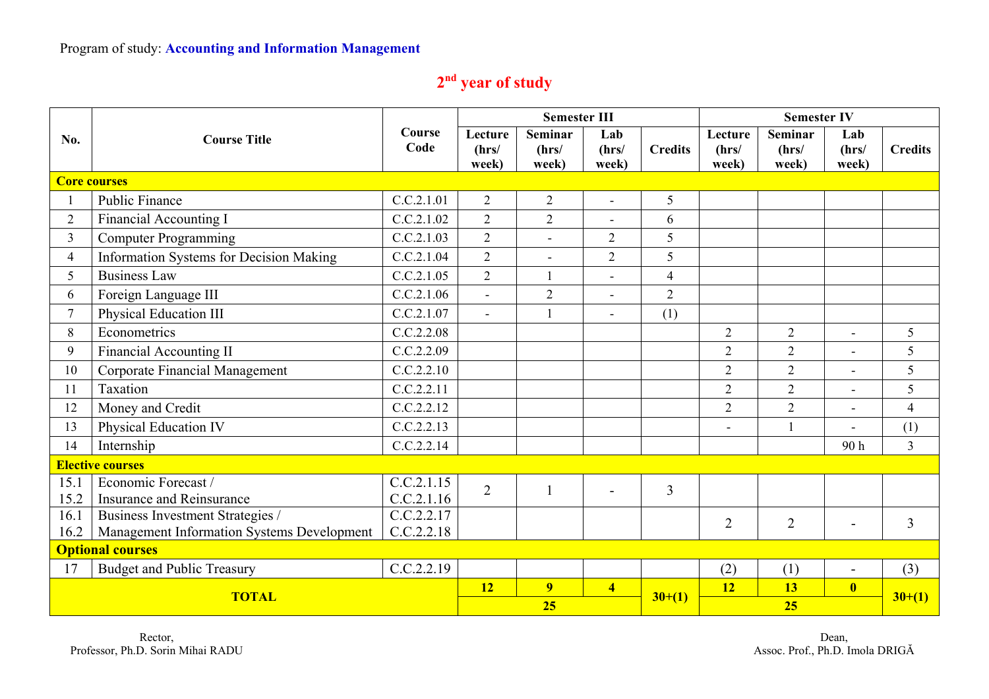## **2nd year of study**

|                         |                                            |                |                           | <b>Semester III</b>       |                       |                | <b>Semester IV</b>        |                           |                          |                |
|-------------------------|--------------------------------------------|----------------|---------------------------|---------------------------|-----------------------|----------------|---------------------------|---------------------------|--------------------------|----------------|
| No.                     | <b>Course Title</b>                        | Course<br>Code | Lecture<br>(hrs/<br>week) | Seminar<br>(hrs/<br>week) | Lab<br>(hrs/<br>week) | <b>Credits</b> | Lecture<br>(hrs/<br>week) | Seminar<br>(hrs/<br>week) | Lab<br>(hrs/<br>week)    | <b>Credits</b> |
|                         | <b>Core courses</b>                        |                |                           |                           |                       |                |                           |                           |                          |                |
|                         | Public Finance                             | C.C.2.1.01     | $\overline{2}$            | $\overline{2}$            | $\overline{a}$        | 5              |                           |                           |                          |                |
| $\overline{2}$          | <b>Financial Accounting I</b>              | C.C.2.1.02     | 2                         | $\overline{2}$            | $\overline{a}$        | 6              |                           |                           |                          |                |
| $\mathbf{3}$            | <b>Computer Programming</b>                | C.C.2.1.03     | $\overline{2}$            | $\blacksquare$            | $\overline{2}$        | 5              |                           |                           |                          |                |
| $\overline{4}$          | Information Systems for Decision Making    | C.C.2.1.04     | 2                         | $\blacksquare$            | $\overline{2}$        | 5              |                           |                           |                          |                |
| 5                       | <b>Business Law</b>                        | C.C.2.1.05     | $\overline{2}$            |                           |                       | $\overline{4}$ |                           |                           |                          |                |
| 6                       | Foreign Language III                       | C.C.2.1.06     | $\overline{a}$            | $\overline{2}$            |                       | $\overline{2}$ |                           |                           |                          |                |
| $7\overline{ }$         | Physical Education III                     | C.C.2.1.07     | $\blacksquare$            | 1                         | L,                    | (1)            |                           |                           |                          |                |
| 8                       | Econometrics                               | C.C.2.2.08     |                           |                           |                       |                | $\overline{2}$            | $\overline{2}$            | $\ddot{\phantom{1}}$     | 5              |
| 9                       | <b>Financial Accounting II</b>             | C.C.2.2.09     |                           |                           |                       |                | $\overline{2}$            | $\overline{2}$            | $\overline{\phantom{a}}$ | 5              |
| 10                      | Corporate Financial Management             | C.C.2.2.10     |                           |                           |                       |                | $\overline{2}$            | $\overline{2}$            |                          | 5              |
| 11                      | Taxation                                   | C.C.2.2.11     |                           |                           |                       |                | $\overline{2}$            | $\overline{2}$            |                          | 5              |
| 12                      | Money and Credit                           | C.C.2.2.12     |                           |                           |                       |                | $\overline{2}$            | $\overline{2}$            | $\overline{\phantom{a}}$ | $\overline{4}$ |
| 13                      | Physical Education IV                      | C.C.2.2.13     |                           |                           |                       |                | $\overline{a}$            |                           |                          | (1)            |
| 14                      | Internship                                 | C.C.2.2.14     |                           |                           |                       |                |                           |                           | 90h                      | $\overline{3}$ |
| <b>Elective courses</b> |                                            |                |                           |                           |                       |                |                           |                           |                          |                |
| 15.1                    | Economic Forecast /                        | C.C.2.1.15     | $\overline{2}$            |                           |                       | $\overline{3}$ |                           |                           |                          |                |
| 15.2                    | Insurance and Reinsurance                  | C.C.2.1.16     |                           |                           |                       |                |                           |                           |                          |                |
| 16.1                    | Business Investment Strategies /           | C.C.2.2.17     |                           |                           |                       |                | $\overline{2}$            | $\overline{2}$            |                          | 3              |
| 16.2                    | Management Information Systems Development | C.C.2.2.18     |                           |                           |                       |                |                           |                           |                          |                |
| <b>Optional courses</b> |                                            |                |                           |                           |                       |                |                           |                           |                          |                |
| 17                      | <b>Budget and Public Treasury</b>          | C.C.2.2.19     |                           |                           |                       |                | (2)                       | (1)                       | $\blacksquare$           | (3)            |
| <b>TOTAL</b>            |                                            | 12             | 9                         | $\overline{\mathbf{4}}$   | $30+(1)$              | <b>12</b>      | 13                        | $\overline{\mathbf{0}}$   |                          |                |
|                         |                                            | 25             |                           |                           |                       | 25             |                           | $30+(1)$                  |                          |                |